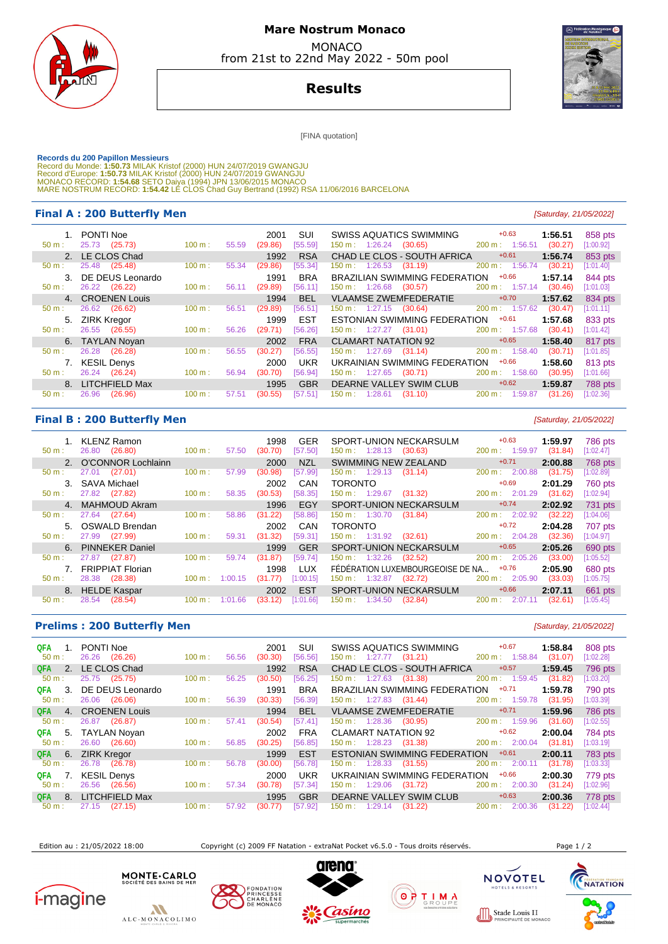

## **Mare Nostrum Monaco**  MONACO

from 21st to 22nd May 2022 - 50m pool

**Results**

[FINA quotation]

Records du 200 Papillon Messieurs<br>Record du Monde: 1:50.73 MILAK Kristof (2000) HUN 24/07/2019 GWANGJU<br>Record d'Europe: 1:50.73 MILAK Kristof (2000) HUN 24/07/2019 GWANGJU<br>MONACO RECORD: 1:54.68 SETO Daiya (1994) JPN 13/06

## **Final A : 200 Butterfly Men Example 200 Butterfly Men Example 21/05/2022 Example 21/05/2022**

|              | PONTI Noe          |        |       | 2001    | SUI        | <b>SWISS AQUATICS SWIMMING</b>       | $+0.63$                   | 1:56.51 | 858 pts        |
|--------------|--------------------|--------|-------|---------|------------|--------------------------------------|---------------------------|---------|----------------|
| $50 m$ :     | 25.73 (25.73)      | 100 m: | 55.59 | (29.86) | [55.59]    | 150 m: 1:26.24<br>(30.65)            | 200 m: 1:56.51            | (30.27) | [1:00.92]      |
|              | 2. LE CLOS Chad    |        |       | 1992    | <b>RSA</b> | CHAD LE CLOS - SOUTH AFRICA          | $+0.61$                   | 1:56.74 | 853 pts        |
| $50 m$ :     | 25.48<br>(25.48)   | 100 m: | 55.34 | (29.86) | [55.34]    | $150 \text{ m}: 1:26.53$<br>(31.19)  | $200 \text{ m}$ : 1:56.74 | (30.21) | [1:01.40]      |
| $\mathbf{3}$ | DE DEUS Leonardo   |        |       | 1991    | <b>BRA</b> | <b>BRAZILIAN SWIMMING FEDERATION</b> | $+0.66$                   | 1:57.14 | 844 pts        |
| $50 m$ :     | 26.22 (26.22)      | 100 m: | 56.11 | (29.89) | [56.11]    | $150 \text{ m}: 1:26.68$<br>(30.57)  | $200 \text{ m}$ : 1:57.14 | (30.46) | [1:01.03]      |
|              | 4. CROENEN Louis   |        |       | 1994    | <b>BEL</b> | <b>VLAAMSE ZWEMFEDERATIE</b>         | $+0.70$                   | 1:57.62 | 834 pts        |
| $50 m$ :     | 26.62<br>(26.62)   | 100 m: | 56.51 | (29.89) | [56.51]    | 150 m : 1:27.15 (30.64)              | 200 m: 1:57.62            | (30.47) | [1:01.11]      |
|              |                    |        |       |         |            |                                      |                           |         |                |
|              | 5. ZIRK Kregor     |        |       | 1999    | <b>EST</b> | ESTONIAN SWIMMING FEDERATION         | $+0.61$                   | 1:57.68 | 833 pts        |
| $50 m$ :     | 26.55 (26.55)      | 100 m: | 56.26 | (29.71) | [56.26]    | $150 \text{ m}: 1:27.27$ (31.01)     | $200 \text{ m}: 1:57.68$  | (30.41) | [1:01.42]      |
|              | 6. TAYLAN Noyan    |        |       | 2002    | <b>FRA</b> | <b>CLAMART NATATION 92</b>           | $+0.65$                   | 1:58.40 | 817 pts        |
| $50 m$ :     | 26.28<br>(26.28)   | 100 m: | 56.55 | (30.27) | [56.55]    | $150 \text{ m}: 1:27.69$<br>(31.14)  | $200 \text{ m}: 1:58.40$  | (30.71) | [1:01.85]      |
|              | <b>KESIL Denys</b> |        |       | 2000    | <b>UKR</b> | UKRAINIAN SWIMMING FEDERATION        | $+0.66$                   | 1:58.60 | 813 pts        |
| $50 m$ :     | 26.24 (26.24)      | 100 m: | 56.94 | (30.70) | [56.94]    | $150 \text{ m}: 1:27.65$<br>(30.71)  | $200 \text{ m}$ : 1:58.60 | (30.95) | [1:01.66]      |
|              | 8. LITCHFIELD Max  |        |       | 1995    | <b>GBR</b> | DEARNE VALLEY SWIM CLUB              | $+0.62$                   | 1:59.87 | <b>788 pts</b> |
| $50 m$ :     | (26.96)<br>26.96   | 100 m: | 57.51 | (30.55) | [57.51]    | 150 m : 1:28.61<br>(31.10)           | 200 m:<br>1:59.87         | (31.26) | [1:02.36]      |

## **Final B : 200 Butterfly Men** [Saturday, 21/05/2022]

|                | KLENZ Ramon             |        |         | 1998    | <b>GER</b> | SPORT-UNION NECKARSULM                  | $+0.63$                  | 1:59.97 | <b>786 pts</b> |
|----------------|-------------------------|--------|---------|---------|------------|-----------------------------------------|--------------------------|---------|----------------|
| $50 m$ :       | (26.80)<br>26.80        | 100 m: | 57.50   | (30.70) | [57.50]    | $150 \text{ m}: 1:28.13$<br>(30.63)     | 200 m: 1:59.97           | (31.84) | [1:02.47]      |
|                | 2. O'CONNOR Lochlainn   |        |         | 2000    | <b>NZL</b> | SWIMMING NEW ZEALAND                    | $+0.71$                  | 2:00.88 | 768 pts        |
| $50 m$ :       | (27.01)<br>27.01        | 100 m: | 57.99   | (30.98) | [57.99]    | $150 \text{ m}: 1:29.13$<br>(31.14)     | $200 \text{ m}: 2:00.88$ | (31.75) | [1:02.89]      |
| 3.             | SAVA Michael            |        |         | 2002    | CAN        | <b>TORONTO</b>                          | $+0.69$                  | 2:01.29 | 760 pts        |
| $50 m$ :       | 27.82<br>(27.82)        | 100 m: | 58.35   | (30.53) | [58.35]    | 150 m : 1:29.67<br>(31.32)              | $200 \text{ m}: 2:01.29$ | (31.62) | [1:02.94]      |
| 4 <sup>1</sup> | MAHMOUD Akram           |        |         | 1996    | EGY        | <b>SPORT-UNION NECKARSULM</b>           | $+0.74$                  | 2:02.92 | 731 pts        |
| $50 m$ :       | 27.64 (27.64)           | 100 m: | 58.86   | (31.22) | [58.86]    | 150 m: 1:30.70<br>(31.84)               | $200 \text{ m}: 2:02.92$ | (32.22) | [1:04.06]      |
| 5.             | OSWALD Brendan          |        |         | 2002    | CAN        | <b>TORONTO</b>                          | $+0.72$                  | 2:04.28 | 707 pts        |
| $50 m$ :       | (27.99)<br>27.99        | 100 m: | 59.31   | (31.32) | [59.31]    | 150 m: 1:31.92<br>(32.61)               | 200 m: 2:04.28           | (32.36) | [1:04.97]      |
|                | 6. PINNEKER Daniel      |        |         | 1999    | <b>GER</b> | SPORT-UNION NECKARSULM                  | $+0.65$                  | 2:05.26 | 690 pts        |
| $50 m$ :       | 27.87<br>(27.87)        | 100 m: | 59.74   | (31.87) | [59.74]    | 1:32.26<br>$150 \text{ m}$ :<br>(32.52) | 200 m:<br>2:05.26        | (33.00) | [1:05.52]      |
|                | <b>FRIPPIAT Florian</b> |        |         | 1998    | TUX        | FÉDÉRATION LUXEMBOURGEOISE DE NA        | $+0.76$                  | 2:05.90 | 680 pts        |
| $50 m$ :       | 28.38<br>(28.38)        | 100 m: | 1:00.15 | (31.77) | [1:00.15]  | 150 m: 1:32.87<br>(32.72)               | 200 m:<br>2:05.90        | (33.03) | [1:05.75]      |
|                | 8. HELDE Kaspar         |        |         | 2002    | <b>EST</b> | SPORT-UNION NECKARSULM                  | $+0.66$                  | 2:07.11 | 661 pts        |
| $50 m$ :       | (28.54)<br>28.54        | 100 m: | 1:01.66 | (33.12) | 1:01.66    | 1:34.50<br>(32.84)<br>150 m :           | 200 m:<br>2:07.11        | (32.61) | [1:05.45]      |

## **Prelims : 200 Butterfly Men** [Saturday, 21/05/2022]

| QFA<br>$50 m$ :   | PONTI Noe<br>26.26<br>(26.26) | 100 m: | 2001<br>(30.30)<br>56.56 | SUI<br>[56.56] | SWISS AQUATICS SWIMMING<br>$150 \text{ m}: 1:27.77$ (31.21) | $+0.67$<br>200 m: 1:58.84 | 1:58.84<br>(31.07) | 808 pts<br>[1:02.28] |
|-------------------|-------------------------------|--------|--------------------------|----------------|-------------------------------------------------------------|---------------------------|--------------------|----------------------|
| <b>QFA</b>        | 2. LE CLOS Chad               |        | 1992                     | <b>RSA</b>     | CHAD LE CLOS - SOUTH AFRICA                                 | $+0.57$                   | 1:59.45            | 796 pts              |
| 50 m:             | 25.75 (25.75)                 | 100 m: | (30.50)<br>56.25         | [56.25]        | 150 m: 1:27.63<br>(31.38)                                   | 200 m: 1:59.45            | (31.82)            | [1:03.20]            |
| -3.<br><b>QFA</b> | DE DEUS Leonardo              |        | 1991                     | <b>BRA</b>     | BRAZILIAN SWIMMING FEDERATION                               | $+0.71$                   | 1:59.78            | 790 pts              |
| 50 m:             | 26.06<br>(26.06)              | 100 m: | (30.33)<br>56.39         | [56.39]        | $150 \text{ m}: 1:27.83$ (31.44)                            | 200 m: 1:59.78            | (31.95)            | [1:03.39]            |
| QFA.<br>4.        | <b>CROENEN Louis</b>          |        | 1994                     | <b>BEL</b>     | <b>VLAAMSE ZWEMFEDERATIE</b>                                | $+0.71$                   | 1:59.96            | 786 pts              |
| $50 m$ :          | 26.87 (26.87)                 | 100 m: | (30.54)<br>57.41         | [57.41]        | $150 \text{ m}: 1:28.36$<br>(30.95)                         | 200 m: 1:59.96            | (31.60)            | [1:02.55]            |
| QFA<br>5.         | TAYLAN Novan                  |        | 2002                     | <b>FRA</b>     | CLAMART NATATION 92                                         | $+0.62$                   | 2:00.04            | 784 pts              |
| $50 m$ :          | 26.60<br>(26.60)              | 100 m: | (30.25)<br>56.85         | [56.85]        | $150 \text{ m}: 1:28.23$<br>(31.38)                         | 200 m: 2:00.04            | (31.81)            | [1:03.19]            |
| <b>QFA</b><br>6.  | <b>ZIRK Kregor</b>            |        | 1999                     | <b>EST</b>     | <b>ESTONIAN SWIMMING FEDERATION</b>                         | $+0.61$                   | 2:00.11            | 783 pts              |
| $50 m$ :          | 26.78<br>(26.78)              | 100 m: | 56.78<br>(30.00)         | [56.78]        | $150 \text{ m}: 1:28.33$ (31.55)                            | 200 m: 2:00.11            | (31.78)            | [1:03.33]            |
| <b>QFA</b>        | <b>KESIL Denys</b>            |        | 2000                     | <b>UKR</b>     | UKRAINIAN SWIMMING FEDERATION                               | $+0.66$                   | 2:00.30            | 779 pts              |
| $50 m$ :          | 26.56<br>(26.56)              | 100 m: | (30.78)<br>57.34         | [57.34]        | 150 m: 1:29.06<br>(31.72)                                   | 200 m: 2:00.30            | (31.24)            | [1:02.96]            |
| <b>QFA</b><br>8.  | <b>LITCHFIELD Max</b>         |        | 1995                     | <b>GBR</b>     | DEARNE VALLEY SWIM CLUB                                     | $+0.63$                   | 2:00.36            | 778 pts              |
| 50 m:             | 27.15 (27.15)                 | 100 m: | 57.92<br>(30.77)         | [57.92]        | 150 m: 1:29.14<br>(31.22)                                   | 200 m:<br>2:00.36         | (31.22)            | [1:02.44]            |

Edition au : 21/05/2022 18:00 Copyright (c) 2009 FF Natation - extraNat Pocket v6.5.0 - Tous droits réservés. Page 1 / 2











TELS & RESO

 $0000$